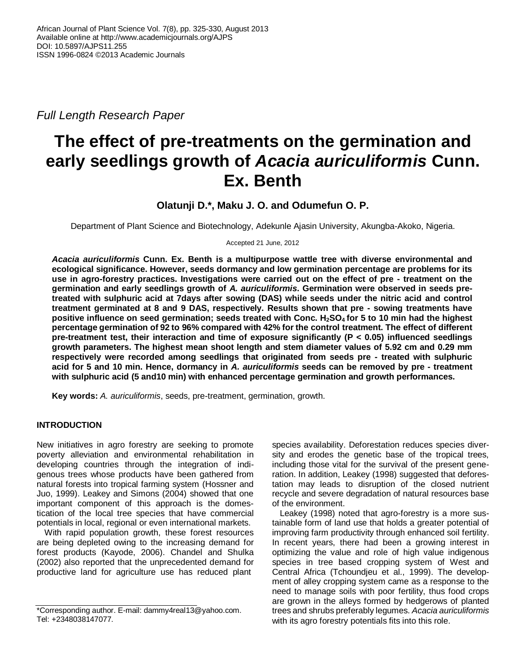*Full Length Research Paper*

# **The effect of pre-treatments on the germination and early seedlings growth of** *Acacia auriculiformis* **Cunn. Ex. Benth**

# **Olatunji D.\*, Maku J. O. and Odumefun O. P.**

Department of Plant Science and Biotechnology, Adekunle Ajasin University, Akungba-Akoko, Nigeria.

Accepted 21 June, 2012

*Acacia auriculiformis* **Cunn. Ex. Benth is a multipurpose wattle tree with diverse environmental and ecological significance. However, seeds dormancy and low germination percentage are problems for its use in agro-forestry practices. Investigations were carried out on the effect of pre - treatment on the germination and early seedlings growth of** *A. auriculiformis***. Germination were observed in seeds pretreated with sulphuric acid at 7days after sowing (DAS) while seeds under the nitric acid and control treatment germinated at 8 and 9 DAS, respectively. Results shown that pre - sowing treatments have positive influence on seed germination; seeds treated with Conc. H2SO4 for 5 to 10 min had the highest percentage germination of 92 to 96% compared with 42% for the control treatment. The effect of different pre-treatment test, their interaction and time of exposure significantly (P < 0.05) influenced seedlings growth parameters. The highest mean shoot length and stem diameter values of 5.92 cm and 0.29 mm respectively were recorded among seedlings that originated from seeds pre - treated with sulphuric acid for 5 and 10 min. Hence, dormancy in** *A. auriculiformis* **seeds can be removed by pre - treatment with sulphuric acid (5 and10 min) with enhanced percentage germination and growth performances.**

**Key words:** *A. auriculiformis*, seeds, pre-treatment, germination, growth.

# **INTRODUCTION**

New initiatives in agro forestry are seeking to promote poverty alleviation and environmental rehabilitation in developing countries through the integration of indigenous trees whose products have been gathered from natural forests into tropical farming system (Hossner and Juo, 1999). Leakey and Simons (2004) showed that one important component of this approach is the domestication of the local tree species that have commercial potentials in local, regional or even international markets.

With rapid population growth, these forest resources are being depleted owing to the increasing demand for forest products (Kayode, 2006). Chandel and Shulka (2002) also reported that the unprecedented demand for productive land for agriculture use has reduced plant

species availability. Deforestation reduces species diversity and erodes the genetic base of the tropical trees, including those vital for the survival of the present generation. In addition, Leakey (1998) suggested that deforestation may leads to disruption of the closed nutrient recycle and severe degradation of natural resources base of the environment.

Leakey (1998) noted that agro-forestry is a more sustainable form of land use that holds a greater potential of improving farm productivity through enhanced soil fertility. In recent years, there had been a growing interest in optimizing the value and role of high value indigenous species in tree based cropping system of West and Central Africa (Tchoundjeu et al., 1999). The development of alley cropping system came as a response to the need to manage soils with poor fertility, thus food crops are grown in the alleys formed by hedgerows of planted trees and shrubs preferably legumes. *Acacia auriculiformis* with its agro forestry potentials fits into this role.

<sup>\*</sup>Corresponding author. E-mail: dammy4real13@yahoo.com. Tel: +2348038147077.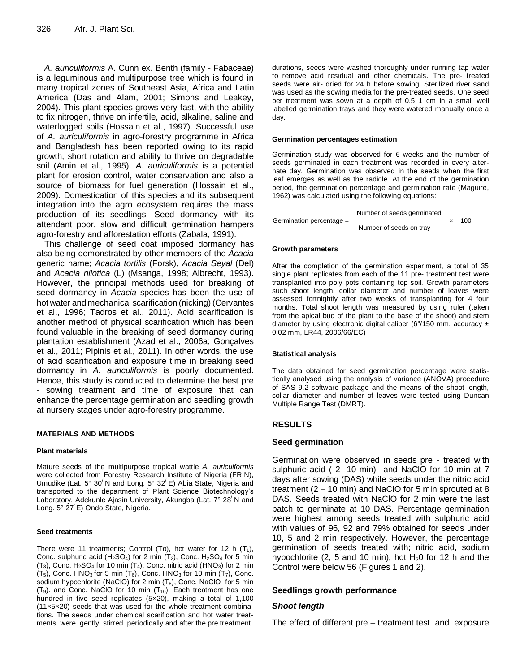*A. auriculiformis* A. Cunn ex. Benth (family - Fabaceae) is a leguminous and multipurpose tree which is found in many tropical zones of Southeast Asia, Africa and Latin America (Das and Alam, 2001; Simons and Leakey, 2004). This plant species grows very fast, with the ability to fix nitrogen, thrive on infertile, acid, alkaline, saline and waterlogged soils (Hossain et al., 1997). Successful use of *A. auriculiformis* in agro-forestry programme in Africa and Bangladesh has been reported owing to its rapid growth, short rotation and ability to thrive on degradable soil (Amin et al., 1995). *A. auriculiformis* is a potential plant for erosion control, water conservation and also a source of biomass for fuel generation (Hossain et al., 2009). Domestication of this species and its subsequent integration into the agro ecosystem requires the mass production of its seedlings. Seed dormancy with its attendant poor, slow and difficult germination hampers agro-forestry and afforestation efforts (Zabala, 1991).

This challenge of seed coat imposed dormancy has also being demonstrated by other members of the *Acacia*  generic name; *Acacia tortilis* (Forsk), *Acacia Seyal* (Del) and *Acacia nilotica* (L) (Msanga, 1998; Albrecht, 1993). However, the principal methods used for breaking of seed dormancy in *Acacia* species has been the use of hot water and mechanical scarification (nicking) (Cervantes et al., 1996; Tadros et al., 2011). Acid scarification is another method of physical scarification which has been found valuable in the breaking of seed dormancy during plantation establishment (Azad et al., 2006a; Gonçalves et al., 2011; Pipinis et al., 2011). In other words, the use of acid scarification and exposure time in breaking seed dormancy in *A. auriculiformis* is poorly documented. Hence, this study is conducted to determine the best pre - sowing treatment and time of exposure that can enhance the percentage germination and seedling growth at nursery stages under agro-forestry programme.

#### **MATERIALS AND METHODS**

#### **Plant materials**

Mature seeds of the multipurpose tropical wattle *A. auriculformis* were collected from Forestry Research Institute of Nigeria (FRIN), Umudike (Lat. 5° 30/ N and Long. 5° 32/ E) Abia State, Nigeria and transported to the department of Plant Science Biotechnology's Laboratory, Adekunle Ajasin University, Akungba (Lat. 7° 28<sup>'</sup> N and Long. 5° 27<sup>'</sup> E) Ondo State, Nigeria.

#### **Seed treatments**

There were 11 treatments; Control (To), hot water for 12 h  $(T_1)$ , Conc. sulphuric acid (H<sub>2</sub>SO<sub>4</sub>) for 2 min (T<sub>2</sub>), Conc. H<sub>2</sub>SO<sub>4</sub> for 5 min  $(T_3)$ , Conc. H<sub>2</sub>SO<sub>4</sub> for 10 min  $(T_4)$ , Conc. nitric acid (HNO<sub>3</sub>) for 2 min  $(T_5)$ , Conc. HNO<sub>3</sub> for 5 min  $(T_6)$ , Conc. HNO<sub>3</sub> for 10 min  $(T_7)$ , Conc. sodium hypochlorite (NaClO) for 2 min  $(T_8)$ , Conc. NaClO for 5 min  $(T<sub>9</sub>)$ . and Conc. NaCIO for 10 min  $(T<sub>10</sub>)$ . Each treatment has one hundred in five seed replicates (5×20), making a total of 1,100 (11×5×20) seeds that was used for the whole treatment combinations. The seeds under chemical scarification and hot water treatments were gently stirred periodically and after the pre treatment

durations, seeds were washed thoroughly under running tap water to remove acid residual and other chemicals. The pre- treated seeds were air- dried for 24 h before sowing. Sterilized river sand was used as the sowing media for the pre-treated seeds. One seed per treatment was sown at a depth of 0.5 1 cm in a small well labelled germination trays and they were watered manually once a day.

#### **Germination percentages estimation**

Germination study was observed for 6 weeks and the number of seeds germinated in each treatment was recorded in every alternate day. Germination was observed in the seeds when the first leaf emerges as well as the radicle. At the end of the germination period, the germination percentage and germination rate (Maguire, 1962) was calculated using the following equations:

 Number of seeds germinated Germination percentage =  $\longrightarrow$ Number of seeds on tray

#### **Growth parameters**

After the completion of the germination experiment, a total of 35 single plant replicates from each of the 11 pre- treatment test were transplanted into poly pots containing top soil. Growth parameters such shoot length, collar diameter and number of leaves were assessed fortnightly after two weeks of transplanting for 4 four months. Total shoot length was measured by using ruler (taken from the apical bud of the plant to the base of the shoot) and stem diameter by using electronic digital caliper (6"/150 mm, accuracy  $\pm$ 0.02 mm, LR44, 2006/66/EC)

#### **Statistical analysis**

The data obtained for seed germination percentage were statistically analysed using the analysis of variance (ANOVA) procedure of SAS 9.2 software package and the means of the shoot length, collar diameter and number of leaves were tested using Duncan Multiple Range Test (DMRT).

#### **RESULTS**

#### **Seed germination**

Germination were observed in seeds pre - treated with sulphuric acid ( 2- 10 min) and NaClO for 10 min at 7 days after sowing (DAS) while seeds under the nitric acid treatment (2 – 10 min) and NaClO for 5 min sprouted at 8 DAS. Seeds treated with NaClO for 2 min were the last batch to germinate at 10 DAS. Percentage germination were highest among seeds treated with sulphuric acid with values of 96, 92 and 79% obtained for seeds under 10, 5 and 2 min respectively. However, the percentage germination of seeds treated with; nitric acid, sodium hypochlorite (2, 5 and 10 min), hot  $H_2$ 0 for 12 h and the Control were below 56 (Figures 1 and 2).

## **Seedlings growth performance**

#### *Shoot length*

The effect of different pre – treatment test and exposure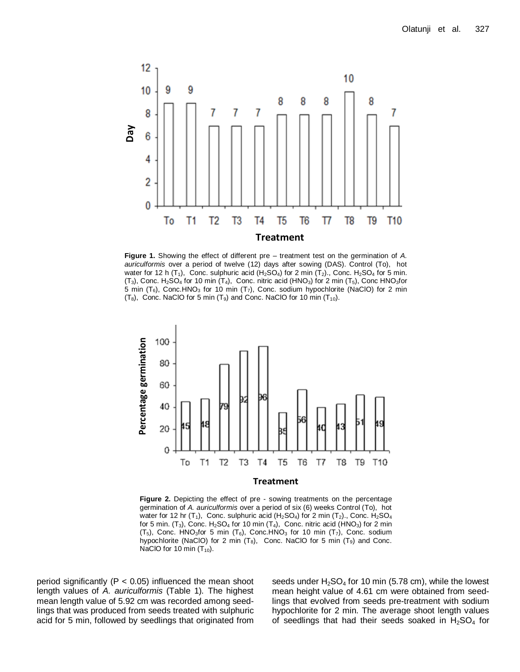

**Figure 1.** Showing the effect of different pre – treatment test on the germination of *A. auriculformis* over a period of twelve (12) days after sowing (DAS). Control (To), hot water for 12 h (T<sub>1</sub>), Conc. sulphuric acid (H<sub>2</sub>SO<sub>4</sub>) for 2 min (T<sub>2</sub>)., Conc. H<sub>2</sub>SO<sub>4</sub> for 5 min.  $(T_3)$ , Conc. H<sub>2</sub>SO<sub>4</sub> for 10 min  $(T_4)$ , Conc. nitric acid (HNO<sub>3</sub>) for 2 min  $(T_5)$ , Conc HNO<sub>3</sub>for 5 min  $(T_6)$ , Conc.HNO<sub>3</sub> for 10 min  $(T_7)$ , Conc. sodium hypochlorite (NaClO) for 2 min  $(T_8)$ , Conc. NaClO for 5 min  $(T_9)$  and Conc. NaClO for 10 min  $(T_{10})$ .



**Figure 2.** Depicting the effect of pre - sowing treatments on the percentage germination of *A. auriculformis* over a period of six (6) weeks Control (To), hot water for 12 hr (T<sub>1</sub>), Conc. sulphuric acid (H<sub>2</sub>SO<sub>4</sub>) for 2 min (T<sub>2</sub>)., Conc. H<sub>2</sub>SO<sub>4</sub> for 5 min.  $(T_3)$ , Conc. H<sub>2</sub>SO<sub>4</sub> for 10 min  $(T_4)$ , Conc. nitric acid (HNO<sub>3</sub>) for 2 min  $(T_5)$ , Conc. HNO<sub>3</sub>for 5 min  $(T_6)$ , Conc. HNO<sub>3</sub> for 10 min  $(T_7)$ , Conc. sodium hypochlorite (NaClO) for 2 min  $(T_8)$ , Conc. NaClO for 5 min  $(T_9)$  and Conc. NaClO for 10 min  $(T_{10})$ .

period significantly ( $P < 0.05$ ) influenced the mean shoot length values of *A. auriculformis* (Table 1)*.* The highest mean length value of 5.92 cm was recorded among seedlings that was produced from seeds treated with sulphuric acid for 5 min, followed by seedlings that originated from seeds under  $H_2SO_4$  for 10 min (5.78 cm), while the lowest mean height value of 4.61 cm were obtained from seedlings that evolved from seeds pre-treatment with sodium hypochlorite for 2 min. The average shoot length values of seedlings that had their seeds soaked in  $H_2SO_4$  for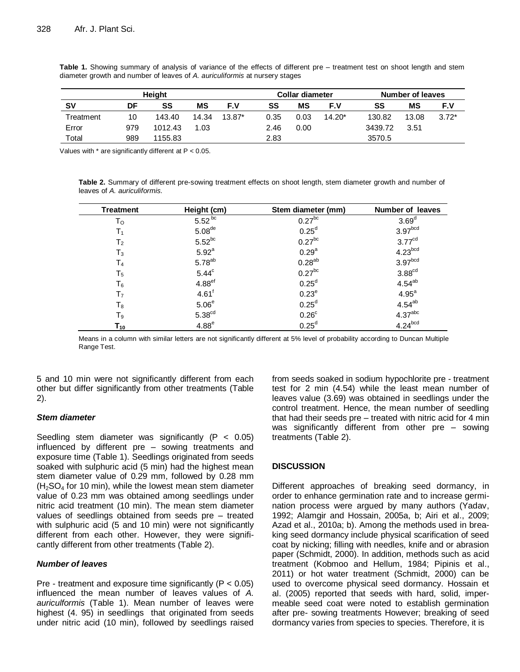| <b>Height</b> |     |         |       |          | <b>Collar diameter</b> |      |          | Number of leaves |       |         |
|---------------|-----|---------|-------|----------|------------------------|------|----------|------------------|-------|---------|
| <b>SV</b>     | DF  | SS      | МS    | F.V      | SS                     | ΜS   | F.V      | SS               | ΜS    | F.V     |
| Treatment     | 10  | 143.40  | 14.34 | $13.87*$ | 0.35                   | 0.03 | $14.20*$ | 130.82           | 13.08 | $3.72*$ |
| Error         | 979 | 1012.43 | 1.03  |          | 2.46                   | 0.00 |          | 3439.72          | 3.51  |         |
| Total         | 989 | 1155.83 |       |          | 2.83                   |      |          | 3570.5           |       |         |

**Table 1.** Showing summary of analysis of variance of the effects of different pre – treatment test on shoot length and stem diameter growth and number of leaves of *A. auriculiformis* at nursery stages

Values with \* are significantly different at P < 0.05.

**Table 2.** Summary of different pre-sowing treatment effects on shoot length, stem diameter growth and number of leaves of *A. auriculiformis.*

| <b>Treatment</b> | Height (cm)          | Stem diameter (mm)   | <b>Number of leaves</b> |
|------------------|----------------------|----------------------|-------------------------|
| To               | $5.52^{bc}$          | $0.27$ <sup>bc</sup> | 3.69 <sup>d</sup>       |
| T <sub>1</sub>   | 5.08 <sup>de</sup>   | $0.25^d$             | 3.97 <sub>bcd</sub>     |
| T <sub>2</sub>   | $5.52^{bc}$          | $0.27$ <sup>bc</sup> | 3.77 <sup>cd</sup>      |
| $T_3$            | 5.92 <sup>a</sup>    | 0.29 <sup>a</sup>    | $4.23$ <sub>bcd</sub>   |
| T <sub>4</sub>   | $5.78^{ab}$          | $0.28^{ab}$          | 3.97 <sup>bcd</sup>     |
| T <sub>5</sub>   | 5.44 <sup>c</sup>    | $0.27$ <sup>bc</sup> | $3.88^{cd}$             |
| $T_6$            | $4.88$ <sup>ef</sup> | 0.25 <sup>d</sup>    | $4.54^{ab}$             |
| T <sub>7</sub>   | $4.61$ <sup>f</sup>  | $0.23^e$             | $4.95^{\circ}$          |
| $T_8$            | 5.06 <sup>e</sup>    | 0.25 <sup>d</sup>    | $4.54ab$<br>$4.37abc$   |
| T <sub>9</sub>   | 5.38 <sup>cd</sup>   | 0.26 <sup>c</sup>    |                         |
| $T_{10}$         | $4.88^e$             | 0.25 <sup>d</sup>    | 4.24 <sup>bcd</sup>     |

Means in a column with similar letters are not significantly different at 5% level of probability according to Duncan Multiple Range Test.

5 and 10 min were not significantly different from each other but differ significantly from other treatments (Table 2).

# *Stem diameter*

Seedling stem diameter was significantly  $(P < 0.05)$ influenced by different pre – sowing treatments and exposure time (Table 1). Seedlings originated from seeds soaked with sulphuric acid (5 min) had the highest mean stem diameter value of 0.29 mm, followed by 0.28 mm  $(H<sub>2</sub>SO<sub>4</sub>$  for 10 min), while the lowest mean stem diameter value of 0.23 mm was obtained among seedlings under nitric acid treatment (10 min). The mean stem diameter values of seedlings obtained from seeds pre – treated with sulphuric acid (5 and 10 min) were not significantly different from each other. However, they were significantly different from other treatments (Table 2).

#### *Number of leaves*

Pre - treatment and exposure time significantly ( $P < 0.05$ ) influenced the mean number of leaves values of *A. auriculformis* (Table 1). Mean number of leaves were highest (4. 95) in seedlings that originated from seeds under nitric acid (10 min), followed by seedlings raised from seeds soaked in sodium hypochlorite pre - treatment test for 2 min (4.54) while the least mean number of leaves value (3.69) was obtained in seedlings under the control treatment. Hence, the mean number of seedling that had their seeds pre – treated with nitric acid for 4 min was significantly different from other pre – sowing treatments (Table 2).

## **DISCUSSION**

Different approaches of breaking seed dormancy, in order to enhance germination rate and to increase germination process were argued by many authors (Yadav, 1992; Alamgir and Hossain, 2005a, b; Airi et al., 2009; Azad et al., 2010a; b). Among the methods used in breaking seed dormancy include physical scarification of seed coat by nicking; filling with needles, knife and or abrasion paper (Schmidt, 2000). In addition, methods such as acid treatment (Kobmoo and Hellum, 1984; Pipinis et al., 2011) or hot water treatment (Schmidt, 2000) can be used to overcome physical seed dormancy. Hossain et al. (2005) reported that seeds with hard, solid, impermeable seed coat were noted to establish germination after pre- sowing treatments However; breaking of seed dormancy varies from species to species. Therefore, it is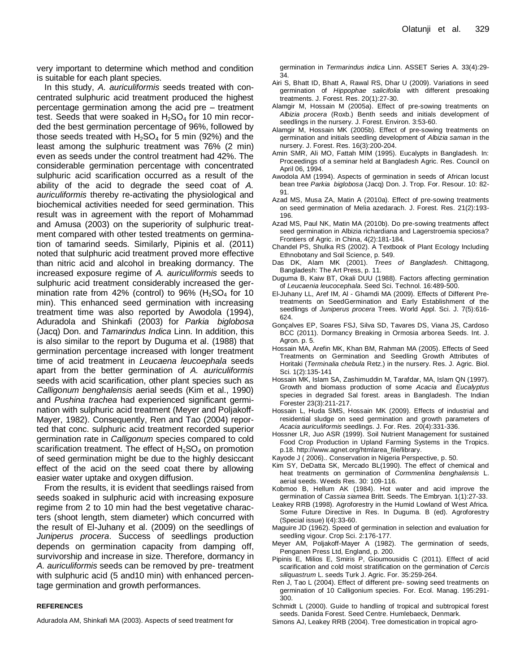very important to determine which method and condition is suitable for each plant species.

In this study, *A. auriculiformis* seeds treated with concentrated sulphuric acid treatment produced the highest percentage germination among the acid pre – treatment test. Seeds that were soaked in  $H_2SO_4$  for 10 min recorded the best germination percentage of 96%, followed by those seeds treated with  $H_2SO_4$  for 5 min (92%) and the least among the sulphuric treatment was 76% (2 min) even as seeds under the control treatment had 42%. The considerable germination percentage with concentrated sulphuric acid scarification occurred as a result of the ability of the acid to degrade the seed coat of *A. auriculiformis* thereby re-activating the physiological and biochemical activities needed for seed germination. This result was in agreement with the report of Mohammad and Amusa (2003) on the superiority of sulphuric treatment compared with other tested treatments on germination of tamarind seeds. Similarly, Pipinis et al. (2011) noted that sulphuric acid treatment proved more effective than nitric acid and alcohol in breaking dormancy. The increased exposure regime of *A. auriculiformis* seeds to sulphuric acid treatment considerably increased the germination rate from 42% (control) to  $96\%$  (H<sub>2</sub>SO<sub>4</sub> for 10 min). This enhanced seed germination with increasing treatment time was also reported by Awodola (1994), Aduradola and Shinkafi (2003) for *Parkia biglobosa*  (Jacq) Don. and *Tamarindus Indica* Linn. In addition, this is also similar to the report by Duguma et al. (1988) that germination percentage increased with longer treatment time of acid treatment in *Leucaena leucoephala* seeds apart from the better germination of *A. auriculiformis* seeds with acid scarification, other plant species such as *Calligonum benghalensis* aerial seeds (Kim et al., 1990) and *Pushina trachea* had experienced significant germination with sulphuric acid treatment (Meyer and Poljakoff-Mayer, 1982). Consequently, Ren and Tao (2004) reported that conc. sulphuric acid treatment recorded superior germination rate in *Calligonum* species compared to cold scarification treatment. The effect of  $H_2SO_4$  on promotion of seed germination might be due to the highly desiccant effect of the acid on the seed coat there by allowing easier water uptake and oxygen diffusion.

From the results, it is evident that seedlings raised from seeds soaked in sulphuric acid with increasing exposure regime from 2 to 10 min had the best vegetative characters (shoot length, stem diameter) which concurred with the result of El-Juhany et al. (2009) on the seedlings of *Juniperus procera*. Success of seedlings production depends on germination capacity from damping off, survivorship and increase in size. Therefore, dormancy in *A. auriculiformis* seeds can be removed by pre- treatment with sulphuric acid (5 and10 min) with enhanced percentage germination and growth performances.

#### **REFERENCES**

Aduradola AM, Shinkafi MA (2003). Aspects of seed treatment for

germination in *Termarindus indica* Linn. ASSET Series A. 33(4):29- 34.

- Airi S, Bhatt ID, Bhatt A, Rawal RS, Dhar U (2009). Variations in seed germination of *Hippophae salicifolia* with different presoaking treatments. J. Forest. Res. 20(1):27-30.
- Alamgir M, Hossain M (2005a). Effect of pre-sowing treatments on *Albizia procera* (Roxb.) Benth seeds and initials development of seedlings in the nursery. J. Forest. Environ. 3:53-60.
- Alamgir M, Hossain MK (2005b). Effect of pre-sowing treatments on germination and initials seedling development of *Albizia saman* in the nursery. J. Forest. Res. 16(3):200-204.
- Amin SMR, Ali MO, Fattah MIM (1995). Eucalypts in Bangladesh. In: Proceedings of a seminar held at Bangladesh Agric. Res. Council on April 06, 1994.
- Awodola AM (1994). Aspects of germination in seeds of African locust bean tree *Parkia biglobosa* (Jacq) Don. J. Trop. For. Resour. 10: 82- 91.
- Azad MS, Musa ZA, Matin A (2010a). Effect of pre-sowing treatments on seed germination of Melia azedarach. J. Forest. Res. 21(2):193- 196.
- Azad MS, Paul NK, Matin MA (2010b). Do pre-sowing treatments affect seed germination in Albizia richardiana and Lagerstroemia speciosa? Frontiers of Agric. in China, 4(2):181-184.
- Chandel PS, Shulka RS (2002). A Textbook of Plant Ecology Including Ethnobotany and Soil Science, p. 549.
- Das DK, Alam MK (2001). *Trees of Bangladesh*. Chittagong, Bangladesh: The Art Press, p. 11.
- Duguma B, Kaiw BT, Okali DUU (1988). Factors affecting germination of *Leucaenia leucocephala*. Seed Sci. Technol. 16:489-500.
- El-Juhany LL, Aref IM, Al Ghamdi MA (2009). Effects of Different Pretreatments on SeedGermination and Early Establishment of the seedlings of *Juniperus procera* Trees. World Appl. Sci. J. 7(5):616- 624.
- Gonçalves EP, Soares FSJ, Silva SD, Tavares DS, Viana JS, Cardoso BCC (2011). Dormancy Breaking in Ormosia arborea Seeds. Int. J. Agron. p. 5.
- Hossain MA, Arefin MK, Khan BM, Rahman MA (2005). Effects of Seed Treatments on Germination and Seedling Growth Attributes of Horitaki (*Terminalia chebula* Retz.) in the nursery. Res. J. Agric. Biol. Sci. 1(2):135-141
- Hossain MK, Islam SA, Zashimuddin M, Tarafdar, MA, Islam QN (1997). Growth and biomass production of some *Acacia* and *Eucalyptus*  species in degraded Sal forest. areas in Bangladesh. The Indian Forester 23(3):211-217.
- Hossain L, Huda SMS, Hossain MK (2009). Effects of industrial and residential sludge on seed germination and growth parameters of *Acacia auriculiformis* seedlings. J. For. Res. 20(4):331-336.
- Hossner LR, Juo ASR (1999). Soil Nutrient Management for sustained Food Crop Production in Upland Farming Systems in the Tropics. p.18. http://www.agnet.org/htmlarea\_file/library.
- Kayode J ( 2006).. Conservation in Nigeria Perspective, p. 50.
- Kim SY, DeDatta SK, Mercado BL(1990). The effect of chemical and heat treatments on germination of *Cormmenlina benghalensis* L. aerial seeds. Weeds Res. 30: 109-116.
- Kobmoo B, Hellum AK (1984). Hot water and acid improve the germination of *Cassia siamea* Britt. Seeds. The Embryan. 1(1):27-33.
- Leakey RRB (1998). Agroforestry in the Humid Lowland of West Africa. Some Future Directive in Res. In Duguma. B (ed). Agroforestry (Special issue) l(4):33-60.
- Maguire JD (1962). Speed of germination in selection and evaluation for seedling vigour. Crop Sci. 2:176-177.
- Meyer AM, Poljakoff-Mayer A (1982). The germination of seeds, Penganen Press Ltd, England, p. 200.
- Pipinis E, Milios E, Smiris P, Gioumousidis C (2011). Effect of acid scarification and cold moist stratification on the germination of *Cercis siliquastrum* L. seeds Turk J. Agric. For. 35:259-264.
- Ren J, Tao L (2004). Effect of different pre- sowing seed treatments on germination of 10 Calligonium species. For. Ecol. Manag. 195:291- 300.
- Schmidt L (2000). Guide to handling of tropical and subtropical forest seeds. Danida Forest. Seed Centre. Humlebaeck, Denmark.
- Simons AJ, Leakey RRB (2004). Tree domestication in tropical agro-